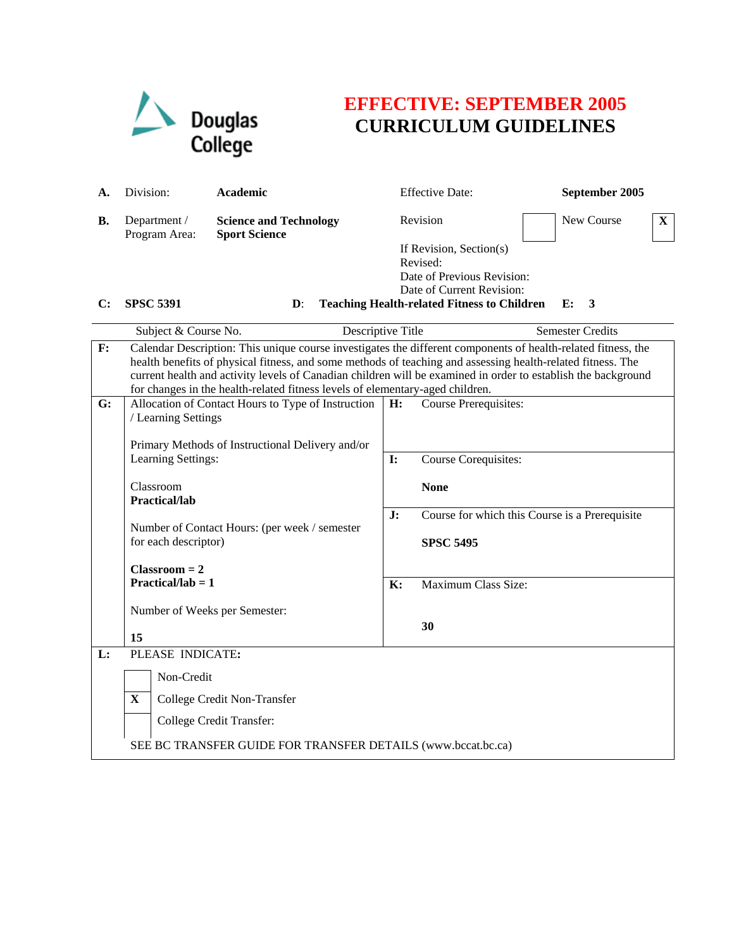

## **EFFECTIVE: SEPTEMBER 2005 CURRICULUM GUIDELINES**

| А.             | Division:                                                                                                                                                                                                                                                                                                                                                                                                                      | Academic                                                               |                                                                          | <b>Effective Date:</b>                                                                                                                               |  | September 2005 |    |  |  |
|----------------|--------------------------------------------------------------------------------------------------------------------------------------------------------------------------------------------------------------------------------------------------------------------------------------------------------------------------------------------------------------------------------------------------------------------------------|------------------------------------------------------------------------|--------------------------------------------------------------------------|------------------------------------------------------------------------------------------------------------------------------------------------------|--|----------------|----|--|--|
| В.             | Department /<br>Program Area:                                                                                                                                                                                                                                                                                                                                                                                                  | <b>Science and Technology</b><br><b>Sport Science</b>                  |                                                                          | Revision                                                                                                                                             |  | New Course     | X. |  |  |
| $\mathbf{C}$ : | <b>SPSC 5391</b>                                                                                                                                                                                                                                                                                                                                                                                                               | $\mathbf{D}$ :                                                         |                                                                          | If Revision, Section(s)<br>Revised:<br>Date of Previous Revision:<br>Date of Current Revision:<br><b>Teaching Health-related Fitness to Children</b> |  | $E$ :<br>3     |    |  |  |
|                |                                                                                                                                                                                                                                                                                                                                                                                                                                | Subject & Course No.<br>Descriptive Title                              |                                                                          | <b>Semester Credits</b>                                                                                                                              |  |                |    |  |  |
| F:             | Calendar Description: This unique course investigates the different components of health-related fitness, the<br>health benefits of physical fitness, and some methods of teaching and assessing health-related fitness. The<br>current health and activity levels of Canadian children will be examined in order to establish the background<br>for changes in the health-related fitness levels of elementary-aged children. |                                                                        |                                                                          |                                                                                                                                                      |  |                |    |  |  |
| G:             | / Learning Settings                                                                                                                                                                                                                                                                                                                                                                                                            | Allocation of Contact Hours to Type of Instruction                     | H:                                                                       | <b>Course Prerequisites:</b>                                                                                                                         |  |                |    |  |  |
|                |                                                                                                                                                                                                                                                                                                                                                                                                                                | Primary Methods of Instructional Delivery and/or<br>Learning Settings: |                                                                          | Course Corequisites:<br>$\mathbf{I}$ :                                                                                                               |  |                |    |  |  |
|                | Classroom<br>Practical/lab                                                                                                                                                                                                                                                                                                                                                                                                     |                                                                        |                                                                          | <b>None</b>                                                                                                                                          |  |                |    |  |  |
|                | Number of Contact Hours: (per week / semester<br>for each descriptor)<br>$Classroom = 2$<br>Practical/lab = $1$<br>Number of Weeks per Semester:                                                                                                                                                                                                                                                                               |                                                                        | Course for which this Course is a Prerequisite<br>J:<br><b>SPSC 5495</b> |                                                                                                                                                      |  |                |    |  |  |
|                |                                                                                                                                                                                                                                                                                                                                                                                                                                |                                                                        | $\mathbf{K}$ :                                                           | Maximum Class Size:                                                                                                                                  |  |                |    |  |  |
|                |                                                                                                                                                                                                                                                                                                                                                                                                                                |                                                                        |                                                                          | 30                                                                                                                                                   |  |                |    |  |  |
| L:             | 15<br>PLEASE INDICATE:                                                                                                                                                                                                                                                                                                                                                                                                         |                                                                        |                                                                          |                                                                                                                                                      |  |                |    |  |  |
|                | Non-Credit                                                                                                                                                                                                                                                                                                                                                                                                                     |                                                                        |                                                                          |                                                                                                                                                      |  |                |    |  |  |
|                | X                                                                                                                                                                                                                                                                                                                                                                                                                              | College Credit Non-Transfer                                            |                                                                          |                                                                                                                                                      |  |                |    |  |  |
|                |                                                                                                                                                                                                                                                                                                                                                                                                                                | College Credit Transfer:                                               |                                                                          |                                                                                                                                                      |  |                |    |  |  |
|                | SEE BC TRANSFER GUIDE FOR TRANSFER DETAILS (www.bccat.bc.ca)                                                                                                                                                                                                                                                                                                                                                                   |                                                                        |                                                                          |                                                                                                                                                      |  |                |    |  |  |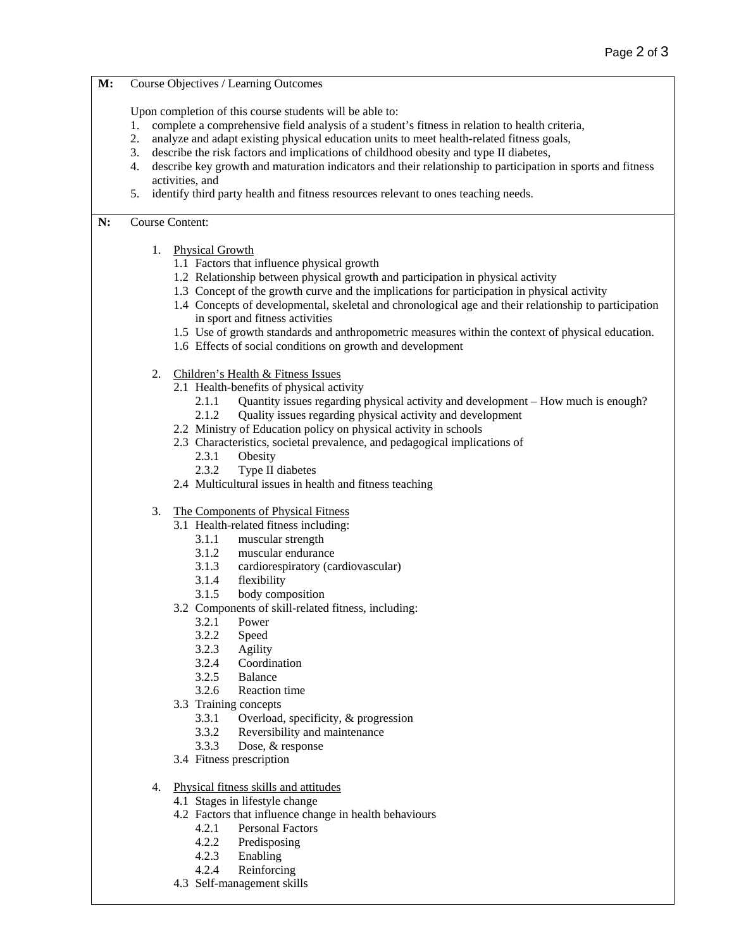**M:** Course Objectives / Learning Outcomes

Upon completion of this course students will be able to:

- 1. complete a comprehensive field analysis of a student's fitness in relation to health criteria,
- 2. analyze and adapt existing physical education units to meet health-related fitness goals,
- 3. describe the risk factors and implications of childhood obesity and type II diabetes,
- 4. describe key growth and maturation indicators and their relationship to participation in sports and fitness activities, and
- 5. identify third party health and fitness resources relevant to ones teaching needs.

## **N:** Course Content:

- 1. Physical Growth
	- 1.1 Factors that influence physical growth
	- 1.2 Relationship between physical growth and participation in physical activity
	- 1.3 Concept of the growth curve and the implications for participation in physical activity
	- 1.4 Concepts of developmental, skeletal and chronological age and their relationship to participation in sport and fitness activities
	- 1.5 Use of growth standards and anthropometric measures within the context of physical education.
	- 1.6 Effects of social conditions on growth and development
- 2. Children's Health & Fitness Issues
	- 2.1 Health-benefits of physical activity
		- 2.1.1 Quantity issues regarding physical activity and development How much is enough?
		- 2.1.2 Quality issues regarding physical activity and development
	- 2.2 Ministry of Education policy on physical activity in schools
	- 2.3 Characteristics, societal prevalence, and pedagogical implications of
		- 2.3.1 Obesity
		- 2.3.2 Type II diabetes
	- 2.4 Multicultural issues in health and fitness teaching
- 3. The Components of Physical Fitness
	- 3.1 Health-related fitness including:
		- 3.1.1 muscular strength
		- 3.1.2 muscular endurance
		- 3.1.3 cardiorespiratory (cardiovascular)
		- 3.1.4 flexibility
		- 3.1.5 body composition
	- 3.2 Components of skill-related fitness, including:
		- 3.2.1 Power
		- 3.2.2 Speed
		- 3.2.3 Agility
		- 3.2.4 Coordination
		- 3.2.5 Balance
		- 3.2.6 Reaction time
	- 3.3 Training concepts
		- 3.3.1 Overload, specificity, & progression
		- 3.3.2 Reversibility and maintenance
		- 3.3.3 Dose, & response
	- 3.4 Fitness prescription
- 4. Physical fitness skills and attitudes
	- 4.1 Stages in lifestyle change
	- 4.2 Factors that influence change in health behaviours
		- 4.2.1 Personal Factors
		- 4.2.2 Predisposing
		- 4.2.3 Enabling
		- 4.2.4 Reinforcing
	- 4.3 Self-management skills